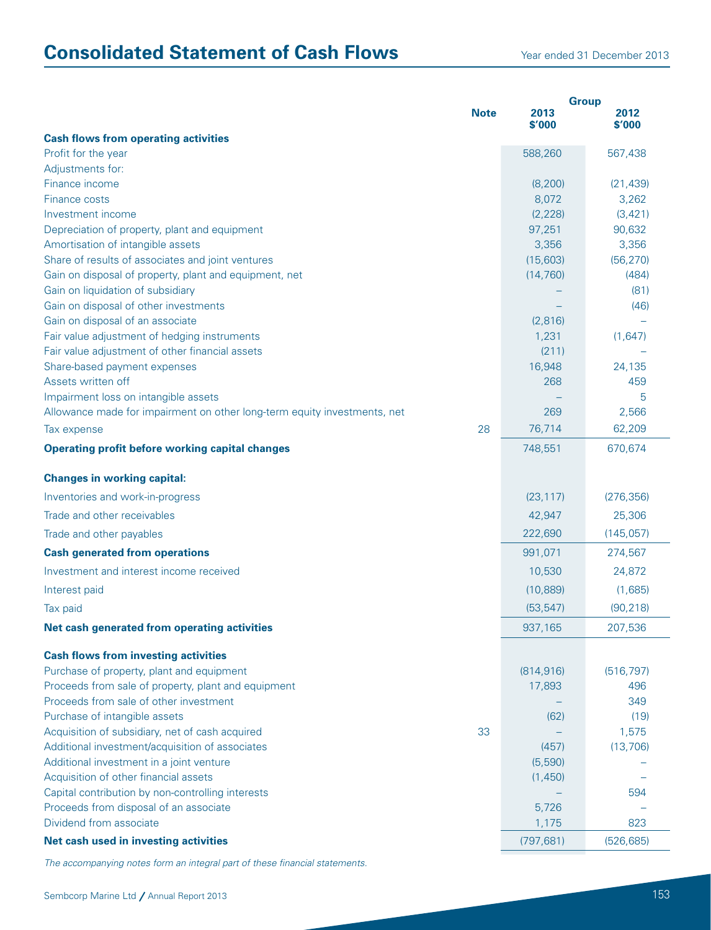## **Consolidated Statement of Cash Flows** Year ended 31 December 2013

|                                                                                             |             | <b>Group</b>   |                |
|---------------------------------------------------------------------------------------------|-------------|----------------|----------------|
|                                                                                             | <b>Note</b> | 2013<br>\$'000 | 2012<br>\$'000 |
| <b>Cash flows from operating activities</b>                                                 |             |                |                |
| Profit for the year                                                                         |             | 588,260        | 567,438        |
| Adjustments for:                                                                            |             |                |                |
| Finance income                                                                              |             | (8, 200)       | (21, 439)      |
| <b>Finance costs</b>                                                                        |             | 8,072          | 3,262          |
| Investment income                                                                           |             | (2, 228)       | (3, 421)       |
| Depreciation of property, plant and equipment                                               |             | 97,251         | 90,632         |
| Amortisation of intangible assets                                                           |             | 3,356          | 3,356          |
| Share of results of associates and joint ventures                                           |             | (15,603)       | (56, 270)      |
| Gain on disposal of property, plant and equipment, net<br>Gain on liquidation of subsidiary |             | (14, 760)      | (484)<br>(81)  |
| Gain on disposal of other investments                                                       |             |                |                |
| Gain on disposal of an associate                                                            |             | (2,816)        | (46)           |
| Fair value adjustment of hedging instruments                                                |             | 1,231          | (1,647)        |
| Fair value adjustment of other financial assets                                             |             | (211)          |                |
| Share-based payment expenses                                                                |             | 16,948         | 24,135         |
| Assets written off                                                                          |             | 268            | 459            |
| Impairment loss on intangible assets                                                        |             |                | 5              |
| Allowance made for impairment on other long-term equity investments, net                    |             | 269            | 2,566          |
| Tax expense                                                                                 | 28          | 76,714         | 62,209         |
| <b>Operating profit before working capital changes</b>                                      |             | 748,551        | 670,674        |
|                                                                                             |             |                |                |
| <b>Changes in working capital:</b>                                                          |             |                |                |
| Inventories and work-in-progress                                                            |             | (23, 117)      | (276, 356)     |
| Trade and other receivables                                                                 |             | 42,947         | 25,306         |
| Trade and other payables                                                                    |             | 222,690        | (145, 057)     |
| <b>Cash generated from operations</b>                                                       |             | 991,071        | 274,567        |
| Investment and interest income received                                                     |             | 10,530         | 24,872         |
| Interest paid                                                                               |             | (10, 889)      | (1,685)        |
| Tax paid                                                                                    |             | (53, 547)      | (90, 218)      |
| Net cash generated from operating activities                                                |             | 937,165        | 207,536        |
| <b>Cash flows from investing activities</b>                                                 |             |                |                |
| Purchase of property, plant and equipment                                                   |             | (814, 916)     | (516, 797)     |
| Proceeds from sale of property, plant and equipment                                         |             | 17,893         | 496            |
| Proceeds from sale of other investment                                                      |             |                | 349            |
| Purchase of intangible assets                                                               |             | (62)           | (19)           |
| Acquisition of subsidiary, net of cash acquired                                             | 33          |                | 1,575          |
| Additional investment/acquisition of associates                                             |             | (457)          | (13, 706)      |
| Additional investment in a joint venture                                                    |             | (5,590)        |                |
| Acquisition of other financial assets                                                       |             | (1,450)        |                |
| Capital contribution by non-controlling interests                                           |             |                | 594            |
| Proceeds from disposal of an associate                                                      |             | 5,726          |                |
| Dividend from associate                                                                     |             | 1,175          | 823            |
| Net cash used in investing activities                                                       |             | (797, 681)     | (526, 685)     |

*The accompanying notes form an integral part of these financial statements.*